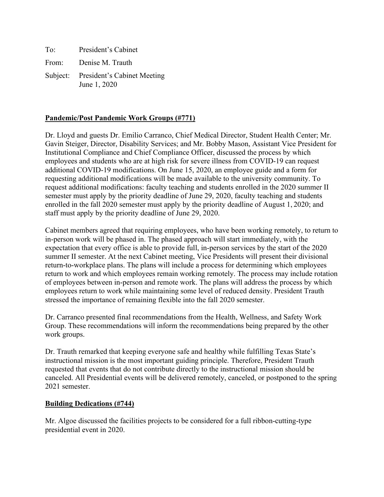To: President's Cabinet From: Denise M. Trauth Subject: President's Cabinet Meeting June 1, 2020

### **Pandemic/Post Pandemic Work Groups (#771)**

Dr. Lloyd and guests Dr. Emilio Carranco, Chief Medical Director, Student Health Center; Mr. Gavin Steiger, Director, Disability Services; and Mr. Bobby Mason, Assistant Vice President for Institutional Compliance and Chief Compliance Officer, discussed the process by which employees and students who are at high risk for severe illness from COVID-19 can request additional COVID-19 modifications. On June 15, 2020, an employee guide and a form for requesting additional modifications will be made available to the university community. To request additional modifications: faculty teaching and students enrolled in the 2020 summer II semester must apply by the priority deadline of June 29, 2020, faculty teaching and students enrolled in the fall 2020 semester must apply by the priority deadline of August 1, 2020; and staff must apply by the priority deadline of June 29, 2020.

Cabinet members agreed that requiring employees, who have been working remotely, to return to in-person work will be phased in. The phased approach will start immediately, with the expectation that every office is able to provide full, in-person services by the start of the 2020 summer II semester. At the next Cabinet meeting, Vice Presidents will present their divisional return-to-workplace plans. The plans will include a process for determining which employees return to work and which employees remain working remotely. The process may include rotation of employees between in-person and remote work. The plans will address the process by which employees return to work while maintaining some level of reduced density. President Trauth stressed the importance of remaining flexible into the fall 2020 semester.

Dr. Carranco presented final recommendations from the Health, Wellness, and Safety Work Group. These recommendations will inform the recommendations being prepared by the other work groups.

Dr. Trauth remarked that keeping everyone safe and healthy while fulfilling Texas State's instructional mission is the most important guiding principle. Therefore, President Trauth requested that events that do not contribute directly to the instructional mission should be canceled. All Presidential events will be delivered remotely, canceled, or postponed to the spring 2021 semester.

#### **Building Dedications (#744)**

Mr. Algoe discussed the facilities projects to be considered for a full ribbon-cutting-type presidential event in 2020.